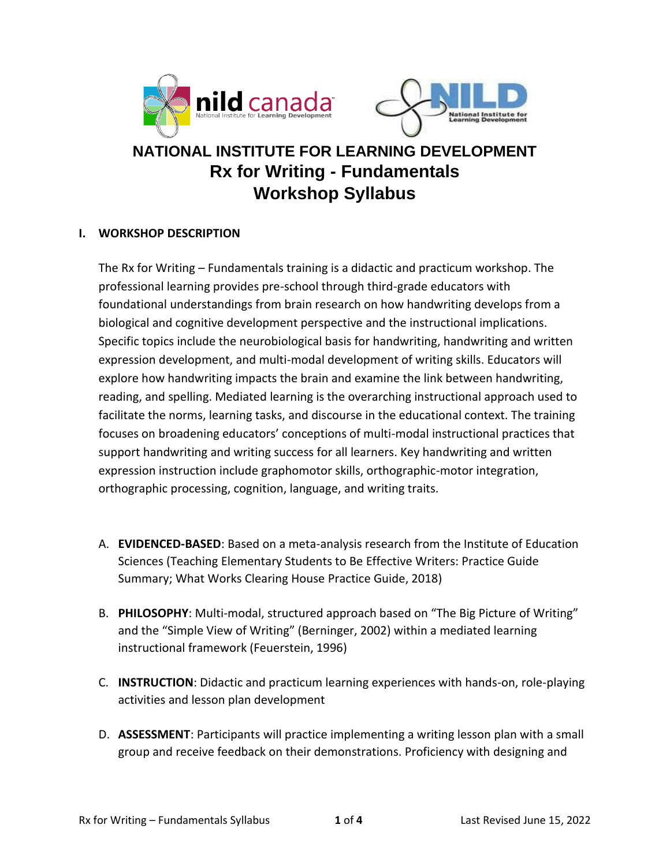



# **NATIONAL INSTITUTE FOR LEARNING DEVELOPMENT Rx for Writing - Fundamentals Workshop Syllabus**

#### **I. WORKSHOP DESCRIPTION**

The Rx for Writing – Fundamentals training is a didactic and practicum workshop. The professional learning provides pre-school through third-grade educators with foundational understandings from brain research on how handwriting develops from a biological and cognitive development perspective and the instructional implications. Specific topics include the neurobiological basis for handwriting, handwriting and written expression development, and multi-modal development of writing skills. Educators will explore how handwriting impacts the brain and examine the link between handwriting, reading, and spelling. Mediated learning is the overarching instructional approach used to facilitate the norms, learning tasks, and discourse in the educational context. The training focuses on broadening educators' conceptions of multi-modal instructional practices that support handwriting and writing success for all learners. Key handwriting and written expression instruction include graphomotor skills, orthographic-motor integration, orthographic processing, cognition, language, and writing traits.

- A. **EVIDENCED-BASED**: Based on a meta-analysis research from the Institute of Education Sciences (Teaching Elementary Students to Be Effective Writers: Practice Guide Summary; What Works Clearing House Practice Guide, 2018)
- B. **PHILOSOPHY**: Multi-modal, structured approach based on "The Big Picture of Writing" and the "Simple View of Writing" (Berninger, 2002) within a mediated learning instructional framework (Feuerstein, 1996)
- C. **INSTRUCTION**: Didactic and practicum learning experiences with hands-on, role-playing activities and lesson plan development
- D. **ASSESSMENT**: Participants will practice implementing a writing lesson plan with a small group and receive feedback on their demonstrations. Proficiency with designing and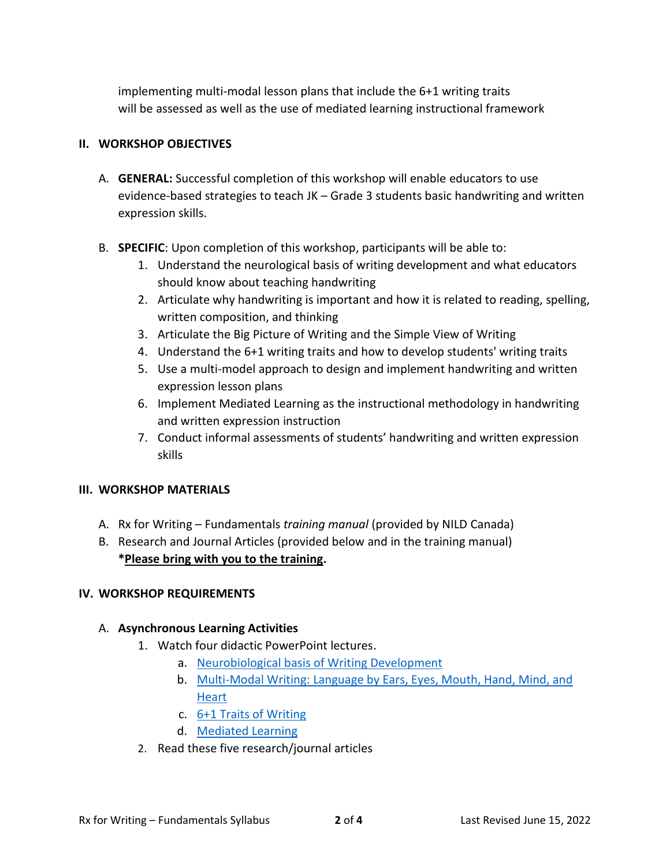implementing multi-modal lesson plans that include the 6+1 writing traits will be assessed as well as the use of mediated learning instructional framework

## **II. WORKSHOP OBJECTIVES**

- A. **GENERAL:** Successful completion of this workshop will enable educators to use evidence-based strategies to teach JK – Grade 3 students basic handwriting and written expression skills.
- B. **SPECIFIC**: Upon completion of this workshop, participants will be able to:
	- 1. Understand the neurological basis of writing development and what educators should know about teaching handwriting
	- 2. Articulate why handwriting is important and how it is related to reading, spelling, written composition, and thinking
	- 3. Articulate the Big Picture of Writing and the Simple View of Writing
	- 4. Understand the 6+1 writing traits and how to develop students' writing traits
	- 5. Use a multi-model approach to design and implement handwriting and written expression lesson plans
	- 6. Implement Mediated Learning as the instructional methodology in handwriting and written expression instruction
	- 7. Conduct informal assessments of students' handwriting and written expression skills

### **III. WORKSHOP MATERIALS**

- A. Rx for Writing Fundamentals *training manual* (provided by NILD Canada)
- B. Research and Journal Articles (provided below and in the training manual) **\*Please bring with you to the training.**

### **IV. WORKSHOP REQUIREMENTS**

### A. **Asynchronous Learning Activities**

- 1. Watch four didactic PowerPoint lectures.
	- a. Neurobiological basis of Writing Development
	- b. Multi-Modal Writing: Language by Ears, Eyes, Mouth, Hand, Mind, and **Heart**
	- c. 6+1 Traits of Writing
	- d. Mediated Learning
- 2. Read these five research/journal articles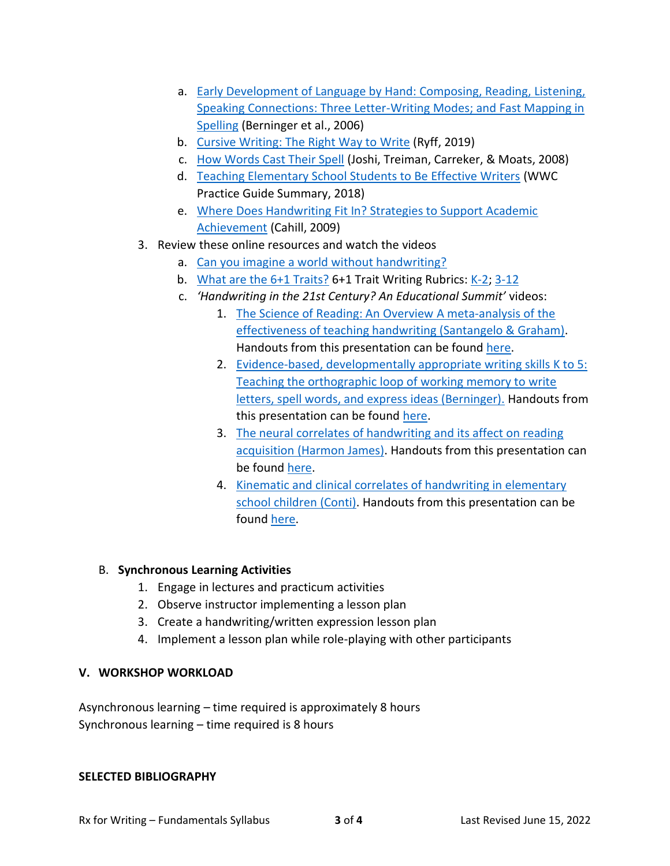- a. Early Development of Language by Hand: Composing, Reading, Listening, Speaking Connections: Three Letter-Writing Modes; and Fast Mapping in Spelling (Berninger et al., 2006)
- b. Cursive Writing: The Right Way to Write (Ryff, 2019)
- c. How Words Cast Their Spell (Joshi, Treiman, Carreker, & Moats, 2008)
- d. Teaching Elementary School Students to Be Effective Writers (WWC Practice Guide Summary, 2018)
- e. Where Does Handwriting Fit In? Strategies to Support Academic Achievement (Cahill, 2009)
- 3. Review these online resources and watch the videos
	- a. Can you imagine a world without handwriting?
	- b. What are the 6+1 Traits? 6+1 Trait Writing Rubrics: K-2; 3-12
	- c. *'Handwriting in the 21st Century? An Educational Summit'* videos:
		- 1. The Science of Reading: An Overview A meta-analysis of the effectiveness of teaching handwriting (Santangelo & Graham). Handouts from this presentation can be found here.
		- 2. Evidence-based, developmentally appropriate writing skills K to 5: Teaching the orthographic loop of working memory to write letters, spell words, and express ideas (Berninger). Handouts from this presentation can be found here.
		- 3. The neural correlates of handwriting and its affect on reading acquisition (Harmon James). Handouts from this presentation can be found here.
		- 4. Kinematic and clinical correlates of handwriting in elementary school children (Conti). Handouts from this presentation can be found here.

### B. **Synchronous Learning Activities**

- 1. Engage in lectures and practicum activities
- 2. Observe instructor implementing a lesson plan
- 3. Create a handwriting/written expression lesson plan
- 4. Implement a lesson plan while role-playing with other participants

#### **V. WORKSHOP WORKLOAD**

Asynchronous learning – time required is approximately 8 hours Synchronous learning – time required is 8 hours

#### **SELECTED BIBLIOGRAPHY**